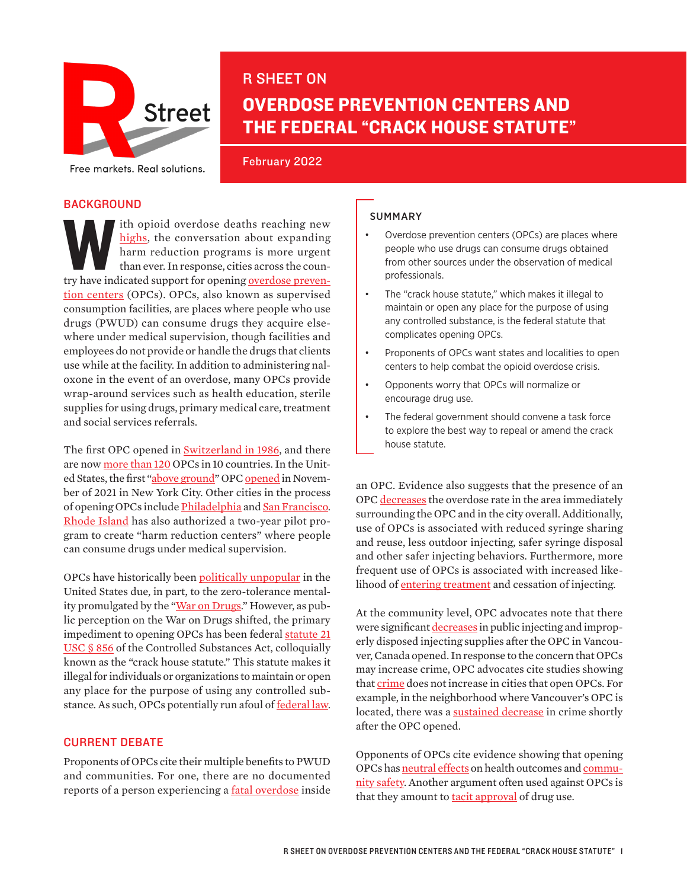

# R SHEET ON OVERDOSE PREVENTION CENTERS AND THE FEDERAL "CRACK HOUSE STATUTE"

February 2022

# **BACKGROUND**

th opioid overdose deaths reaching new highs, the conversation about expanding harm reduction programs is more urgent than ever. In response, cities across the country have indicated support for opening <u>overdose preven-</u> [highs](https://www.drugabuse.gov/drug-topics/trends-statistics/overdose-death-rates), the conversation about expanding harm reduction programs is more urgent than ever. In response, cities across the coun[tion centers](https://www.washingtonpost.com/health/2021/11/30/drugs-supervised-consumption/) (OPCs). OPCs, also known as supervised consumption facilities, are places where people who use drugs (PWUD) can consume drugs they acquire elsewhere under medical supervision, though facilities and employees do not provide or handle the drugs that clients use while at the facility. In addition to administering naloxone in the event of an overdose, many OPCs provide wrap-around services such as health education, sterile supplies for using drugs, primary medical care, treatment and social services referrals.

The first OPC opened in [Switzerland in 1986,](https://www.thelancet.com/journals/lancet/article/PIIS0140-6736(18)31469-7/fulltext) and there are now [more than 120](https://drugpolicy.org/issues/supervised-consumption-services) OPCs in 10 countries. In the United States, the first ["above ground](https://www.forbes.com/sites/janetwburns/2017/08/10/opioid-experts-are-going-rogue-to-prove-that-safe-injection-sites-save-lives/?sh=57c60328f6b8)" OPC [opened](https://www.washingtonpost.com/health/2021/11/30/drugs-supervised-consumption/) in November of 2021 in New York City. Other cities in the process of opening OPCs include [Philadelphia](https://whyy.org/articles/time-for-safehouse-to-ask-forgiveness-not-permission-on-philly-supervised-injection-site-experts-say/) and [San Francisco](https://www.sfgate.com/bayarea/article/safe-injection-site-San-Francisco-16628526.php). [Rhode Island](http://www.thenationshealth.org/content/51/8/7) has also authorized a two-year pilot program to create "harm reduction centers" where people can consume drugs under medical supervision.

OPCs have historically been [politically unpopular](https://www.healthaffairs.org/do/10.1377/forefront.20181127.121405/full/) in the United States due, in part, to the zero-tolerance mental-ity promulgated by the "[War on Drugs.](https://www.americanprogress.org/article/ending-war-drugs/)" However, as public perception on the War on Drugs shifted, the primary impediment to opening OPCs has been federal statute 21 [USC § 856](https://www.govinfo.gov/content/pkg/USCODE-2004-title21/pdf/USCODE-2004-title21-chap13-subchapI-partD-sec856.pdf) of the Controlled Substances Act, colloquially known as the "crack house statute." This statute makes it illegal for individuals or organizations to maintain or open any place for the purpose of using any controlled substance. As such, OPCs potentially run afoul of **federal law**.

#### CURRENT DEBATE

Proponents of OPCs cite their multiple benefits to PWUD and communities. For one, there are no documented reports of a person experiencing a **fatal overdose** inside

#### SUMMARY

- Overdose prevention centers (OPCs) are places where people who use drugs can consume drugs obtained from other sources under the observation of medical professionals.
- The "crack house statute," which makes it illegal to maintain or open any place for the purpose of using any controlled substance, is the federal statute that complicates opening OPCs.
- Proponents of OPCs want states and localities to open centers to help combat the opioid overdose crisis.
- Opponents worry that OPCs will normalize or encourage drug use.
- The federal government should convene a task force to explore the best way to repeal or amend the crack house statute.

an OPC. Evidence also suggests that the presence of an OPC [decreases](https://link.springer.com/article/10.1007%2Fs11904-017-0363-y) the overdose rate in the area immediately surrounding the OPC and in the city overall. Additionally, use of OPCs is [associated](https://icer.org/wp-content/uploads/2020/10/ICER_SIF_Final-Evidence-Report_010821.pdf) with reduced syringe sharing and reuse, less outdoor injecting, safer syringe disposal and other safer injecting behaviors. Furthermore, more frequent use of OPCs is associated with increased likelihood of **entering treatment** and cessation of injecting.

At the community level, OPC advocates note that there were significant [decreases](https://icer.org/wp-content/uploads/2020/10/ICER_SIF_Final-Evidence-Report_010821.pdf) in public injecting and improperly disposed injecting supplies after the OPC in Vancouver, Canada opened. In response to the concern that OPCs may increase crime, OPC advocates cite studies showing that [crime](https://pubmed.ncbi.nlm.nih.gov/34218964/) does not increase in cities that open OPCs. For example, in the neighborhood where Vancouver's OPC is located, there was a **sustained decrease** in crime shortly after the OPC opened.

Opponents of OPCs cite evidence showing that opening OPCs has [neutral effects](https://nida.nih.gov/sites/default/files/NIH-RTC-Overdose-Prevention-Centers.pdf) on health outcomes and [commu](https://whyy.org/articles/civic-groups-argue-supervised-injection-site-will-boost-crime/)[nity safety](https://whyy.org/articles/civic-groups-argue-supervised-injection-site-will-boost-crime/). Another argument often used against OPCs is that they amount to **tacit approval** of drug use.